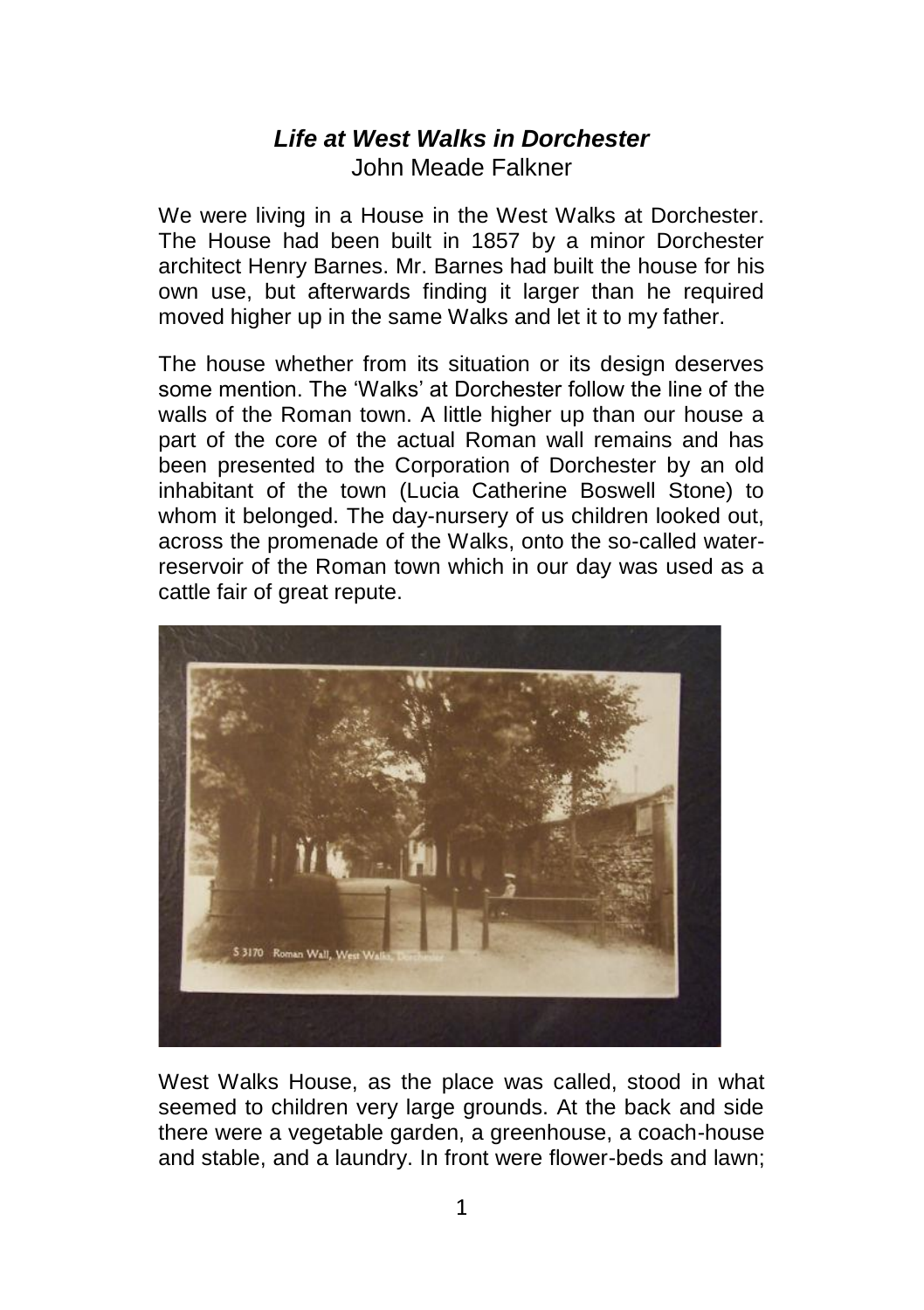## *Life at West Walks in Dorchester*  John Meade Falkner

We were living in a House in the West Walks at Dorchester. The House had been built in 1857 by a minor Dorchester architect Henry Barnes. Mr. Barnes had built the house for his own use, but afterwards finding it larger than he required moved higher up in the same Walks and let it to my father.

The house whether from its situation or its design deserves some mention. The 'Walks' at Dorchester follow the line of the walls of the Roman town. A little higher up than our house a part of the core of the actual Roman wall remains and has been presented to the Corporation of Dorchester by an old inhabitant of the town (Lucia Catherine Boswell Stone) to whom it belonged. The day-nursery of us children looked out. across the promenade of the Walks, onto the so-called waterreservoir of the Roman town which in our day was used as a cattle fair of great repute.



West Walks House, as the place was called, stood in what seemed to children very large grounds. At the back and side there were a vegetable garden, a greenhouse, a coach-house and stable, and a laundry. In front were flower-beds and lawn;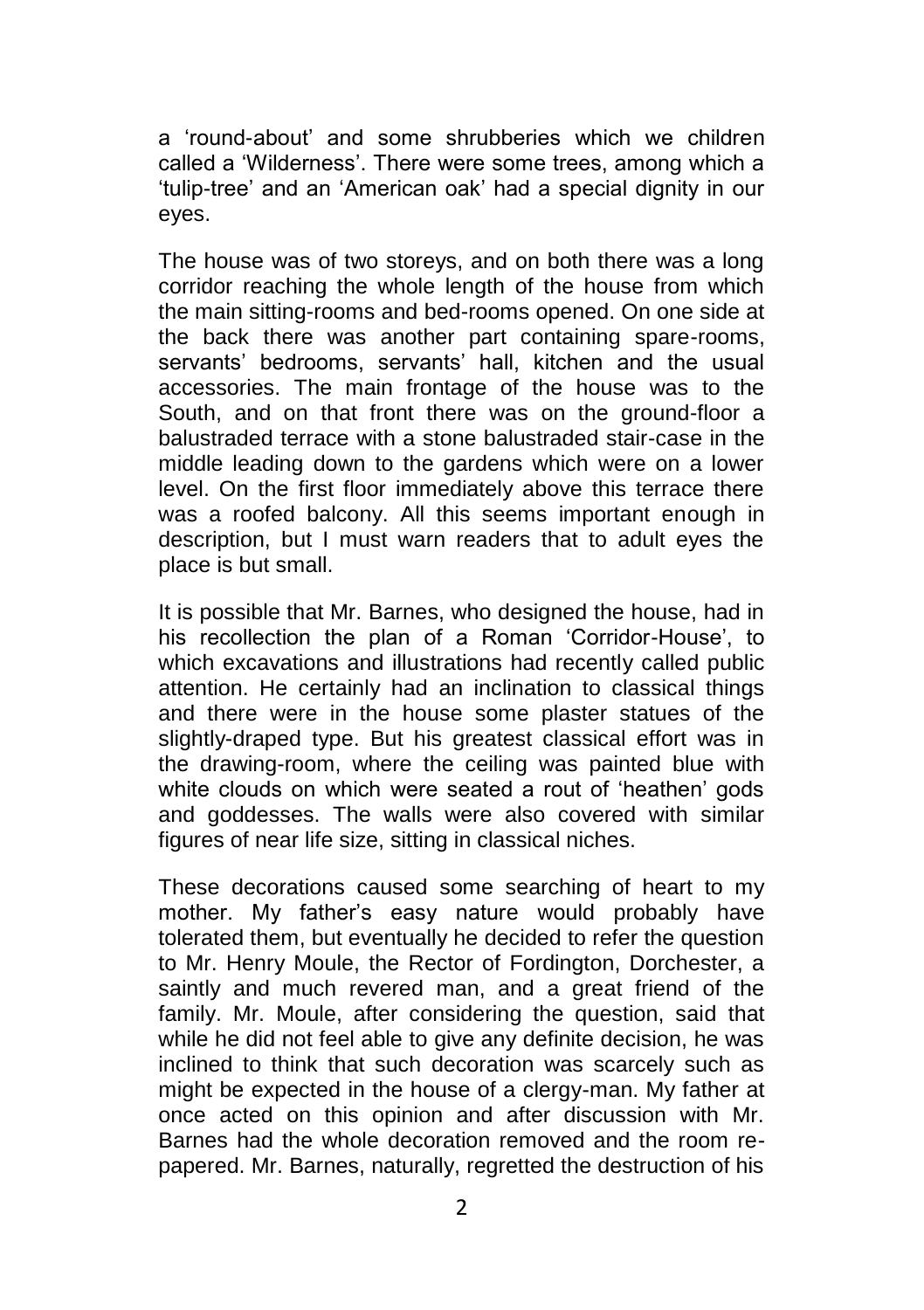a 'round-about' and some shrubberies which we children called a 'Wilderness'. There were some trees, among which a 'tulip-tree' and an 'American oak' had a special dignity in our eyes.

The house was of two storeys, and on both there was a long corridor reaching the whole length of the house from which the main sitting-rooms and bed-rooms opened. On one side at the back there was another part containing spare-rooms, servants' bedrooms, servants' hall, kitchen and the usual accessories. The main frontage of the house was to the South, and on that front there was on the ground-floor a balustraded terrace with a stone balustraded stair-case in the middle leading down to the gardens which were on a lower level. On the first floor immediately above this terrace there was a roofed balcony. All this seems important enough in description, but I must warn readers that to adult eyes the place is but small.

It is possible that Mr. Barnes, who designed the house, had in his recollection the plan of a Roman 'Corridor-House', to which excavations and illustrations had recently called public attention. He certainly had an inclination to classical things and there were in the house some plaster statues of the slightly-draped type. But his greatest classical effort was in the drawing-room, where the ceiling was painted blue with white clouds on which were seated a rout of 'heathen' gods and goddesses. The walls were also covered with similar figures of near life size, sitting in classical niches.

These decorations caused some searching of heart to my mother. My father's easy nature would probably have tolerated them, but eventually he decided to refer the question to Mr. Henry Moule, the Rector of Fordington, Dorchester, a saintly and much revered man, and a great friend of the family. Mr. Moule, after considering the question, said that while he did not feel able to give any definite decision, he was inclined to think that such decoration was scarcely such as might be expected in the house of a clergy-man. My father at once acted on this opinion and after discussion with Mr. Barnes had the whole decoration removed and the room repapered. Mr. Barnes, naturally, regretted the destruction of his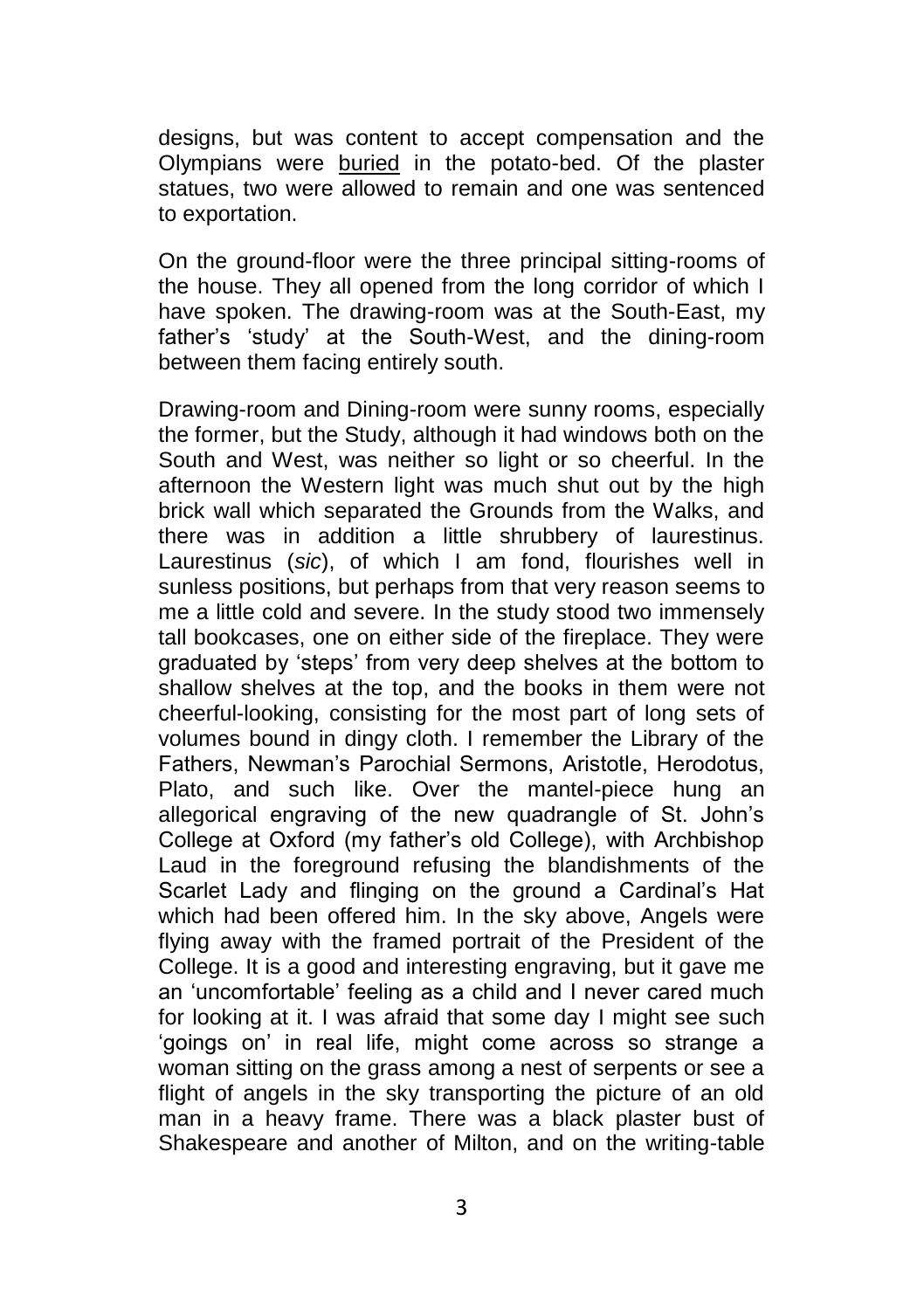designs, but was content to accept compensation and the Olympians were buried in the potato-bed. Of the plaster statues, two were allowed to remain and one was sentenced to exportation.

On the ground-floor were the three principal sitting-rooms of the house. They all opened from the long corridor of which I have spoken. The drawing-room was at the South-East, my father's 'study' at the South-West, and the dining-room between them facing entirely south.

Drawing-room and Dining-room were sunny rooms, especially the former, but the Study, although it had windows both on the South and West, was neither so light or so cheerful. In the afternoon the Western light was much shut out by the high brick wall which separated the Grounds from the Walks, and there was in addition a little shrubbery of laurestinus. Laurestinus (*sic*), of which I am fond, flourishes well in sunless positions, but perhaps from that very reason seems to me a little cold and severe. In the study stood two immensely tall bookcases, one on either side of the fireplace. They were graduated by 'steps' from very deep shelves at the bottom to shallow shelves at the top, and the books in them were not cheerful-looking, consisting for the most part of long sets of volumes bound in dingy cloth. I remember the Library of the Fathers, Newman's Parochial Sermons, Aristotle, Herodotus, Plato, and such like. Over the mantel-piece hung an allegorical engraving of the new quadrangle of St. John's College at Oxford (my father's old College), with Archbishop Laud in the foreground refusing the blandishments of the Scarlet Lady and flinging on the ground a Cardinal's Hat which had been offered him. In the sky above, Angels were flying away with the framed portrait of the President of the College. It is a good and interesting engraving, but it gave me an 'uncomfortable' feeling as a child and I never cared much for looking at it. I was afraid that some day I might see such 'goings on' in real life, might come across so strange a woman sitting on the grass among a nest of serpents or see a flight of angels in the sky transporting the picture of an old man in a heavy frame. There was a black plaster bust of Shakespeare and another of Milton, and on the writing-table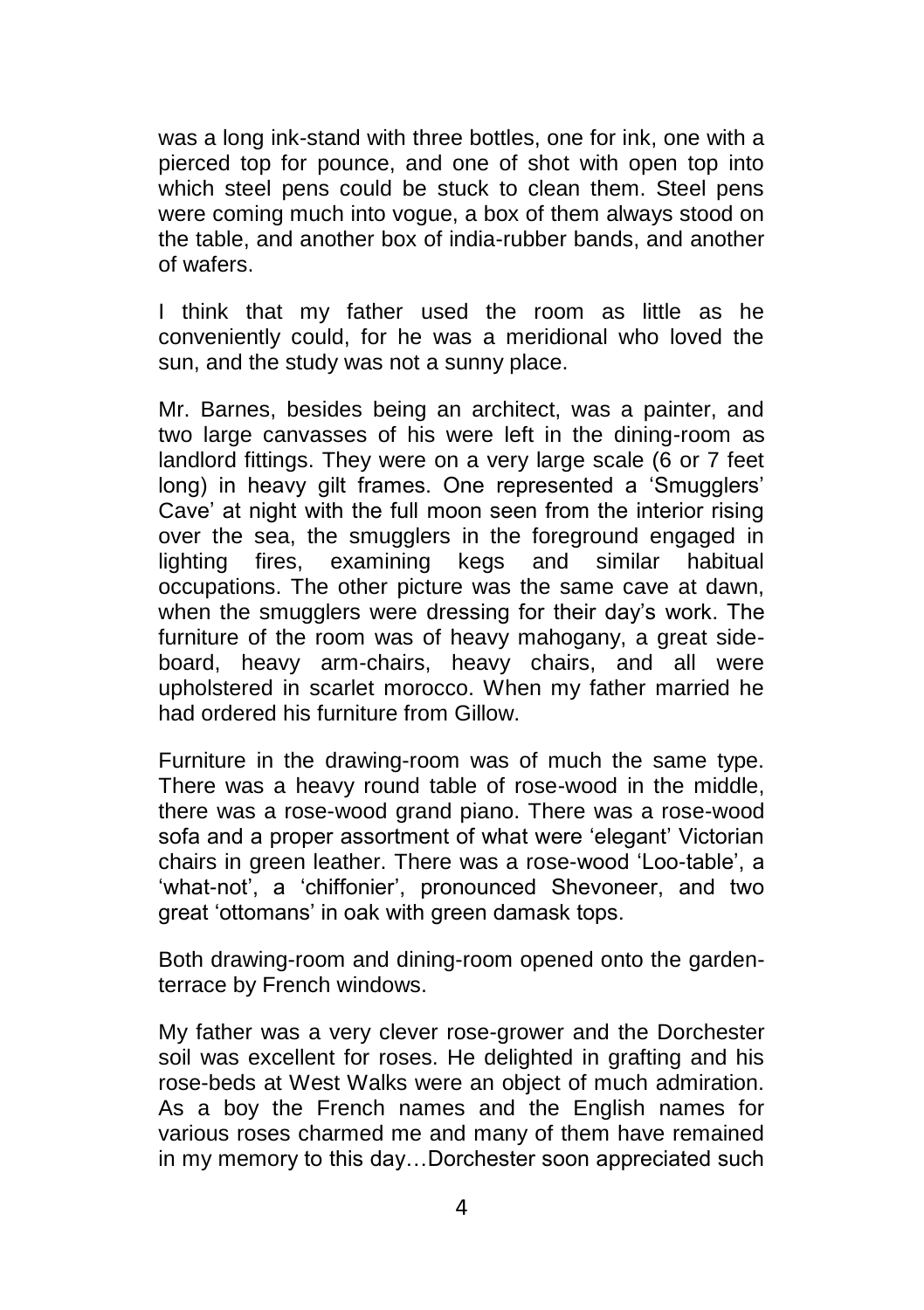was a long ink-stand with three bottles, one for ink, one with a pierced top for pounce, and one of shot with open top into which steel pens could be stuck to clean them. Steel pens were coming much into vogue, a box of them always stood on the table, and another box of india-rubber bands, and another of wafers.

I think that my father used the room as little as he conveniently could, for he was a meridional who loved the sun, and the study was not a sunny place.

Mr. Barnes, besides being an architect, was a painter, and two large canvasses of his were left in the dining-room as landlord fittings. They were on a very large scale (6 or 7 feet long) in heavy gilt frames. One represented a 'Smugglers' Cave' at night with the full moon seen from the interior rising over the sea, the smugglers in the foreground engaged in lighting fires, examining kegs and similar habitual occupations. The other picture was the same cave at dawn, when the smugglers were dressing for their day's work. The furniture of the room was of heavy mahogany, a great sideboard, heavy arm-chairs, heavy chairs, and all were upholstered in scarlet morocco. When my father married he had ordered his furniture from Gillow.

Furniture in the drawing-room was of much the same type. There was a heavy round table of rose-wood in the middle, there was a rose-wood grand piano. There was a rose-wood sofa and a proper assortment of what were 'elegant' Victorian chairs in green leather. There was a rose-wood 'Loo-table', a 'what-not', a 'chiffonier', pronounced Shevoneer, and two great 'ottomans' in oak with green damask tops.

Both drawing-room and dining-room opened onto the gardenterrace by French windows.

My father was a very clever rose-grower and the Dorchester soil was excellent for roses. He delighted in grafting and his rose-beds at West Walks were an object of much admiration. As a boy the French names and the English names for various roses charmed me and many of them have remained in my memory to this day…Dorchester soon appreciated such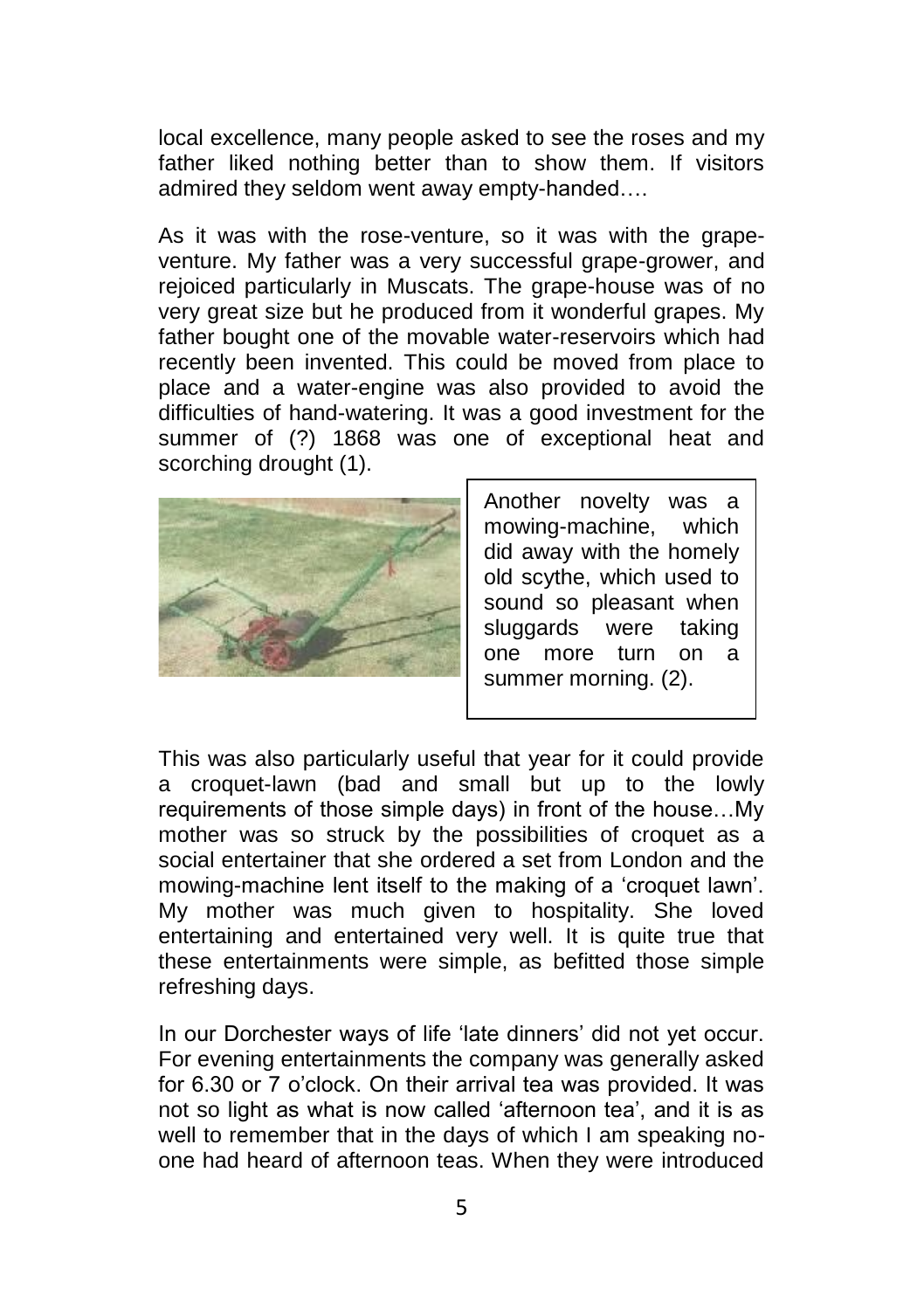local excellence, many people asked to see the roses and my father liked nothing better than to show them. If visitors admired they seldom went away empty-handed….

As it was with the rose-venture, so it was with the grapeventure. My father was a very successful grape-grower, and rejoiced particularly in Muscats. The grape-house was of no very great size but he produced from it wonderful grapes. My father bought one of the movable water-reservoirs which had recently been invented. This could be moved from place to place and a water-engine was also provided to avoid the difficulties of hand-watering. It was a good investment for the summer of (?) 1868 was one of exceptional heat and scorching drought (1).



Another novelty was a mowing-machine, which did away with the homely old scythe, which used to sound so pleasant when sluggards were taking one more turn on a summer morning. (2).

This was also particularly useful that year for it could provide a croquet-lawn (bad and small but up to the lowly requirements of those simple days) in front of the house…My mother was so struck by the possibilities of croquet as a social entertainer that she ordered a set from London and the mowing-machine lent itself to the making of a 'croquet lawn'. My mother was much given to hospitality. She loved entertaining and entertained very well. It is quite true that these entertainments were simple, as befitted those simple refreshing days.

In our Dorchester ways of life 'late dinners' did not yet occur. For evening entertainments the company was generally asked for 6.30 or 7 o'clock. On their arrival tea was provided. It was not so light as what is now called 'afternoon tea', and it is as well to remember that in the days of which I am speaking noone had heard of afternoon teas. When they were introduced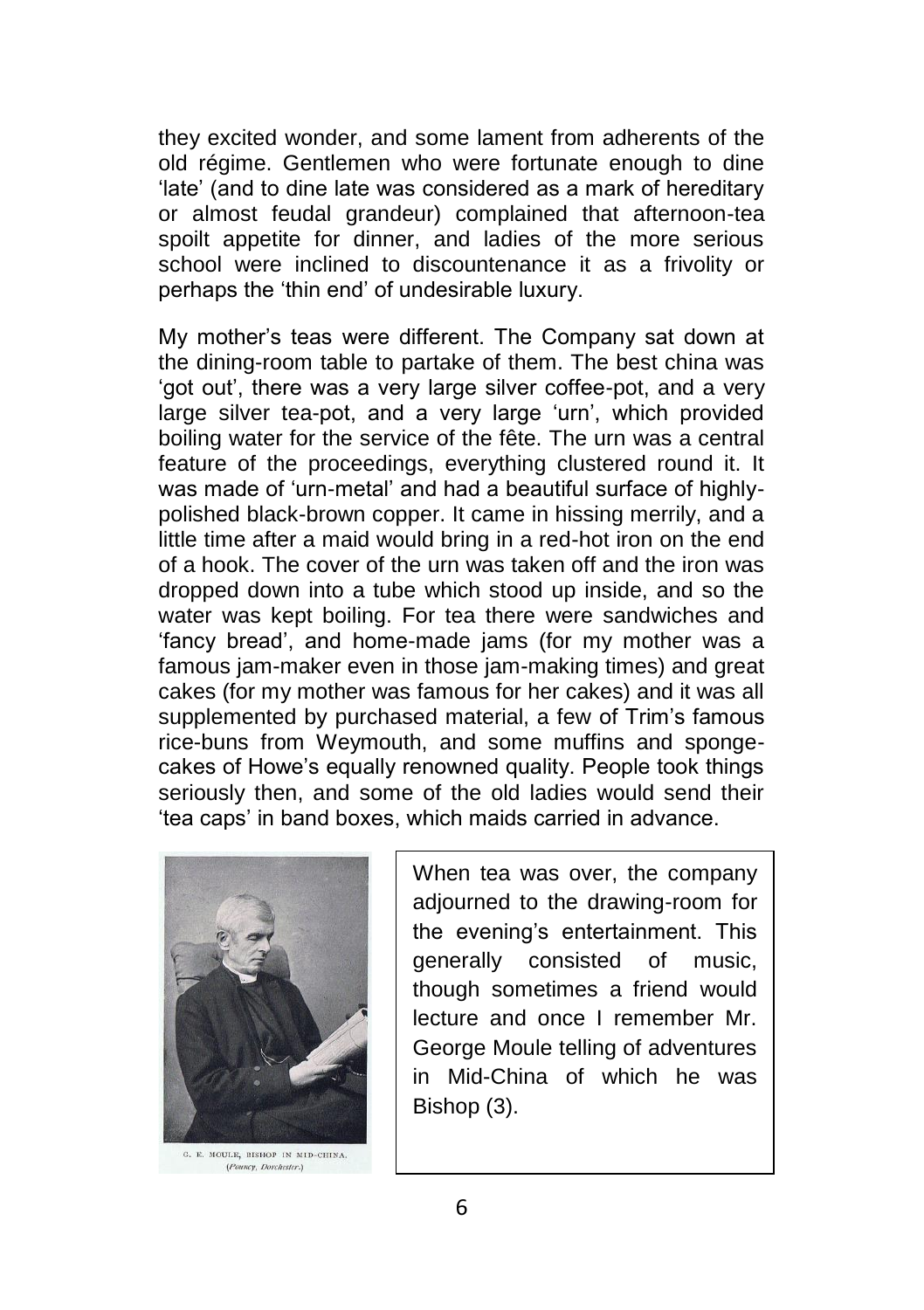they excited wonder, and some lament from adherents of the old régime. Gentlemen who were fortunate enough to dine 'late' (and to dine late was considered as a mark of hereditary or almost feudal grandeur) complained that afternoon-tea spoilt appetite for dinner, and ladies of the more serious school were inclined to discountenance it as a frivolity or perhaps the 'thin end' of undesirable luxury.

My mother's teas were different. The Company sat down at the dining-room table to partake of them. The best china was 'got out', there was a very large silver coffee-pot, and a very large silver tea-pot, and a very large 'urn', which provided boiling water for the service of the fête. The urn was a central feature of the proceedings, everything clustered round it. It was made of 'urn-metal' and had a beautiful surface of highlypolished black-brown copper. It came in hissing merrily, and a little time after a maid would bring in a red-hot iron on the end of a hook. The cover of the urn was taken off and the iron was dropped down into a tube which stood up inside, and so the water was kept boiling. For tea there were sandwiches and 'fancy bread', and home-made jams (for my mother was a famous jam-maker even in those jam-making times) and great cakes (for my mother was famous for her cakes) and it was all supplemented by purchased material, a few of Trim's famous rice-buns from Weymouth, and some muffins and spongecakes of Howe's equally renowned quality. People took things seriously then, and some of the old ladies would send their 'tea caps' in band boxes, which maids carried in advance.



G. E. MOULE, BISHOP IN MID-CHINA. (Pounce, Dorchester.)

When tea was over, the company adjourned to the drawing-room for the evening's entertainment. This generally consisted of music, though sometimes a friend would lecture and once I remember Mr. George Moule telling of adventures in Mid-China of which he was Bishop (3).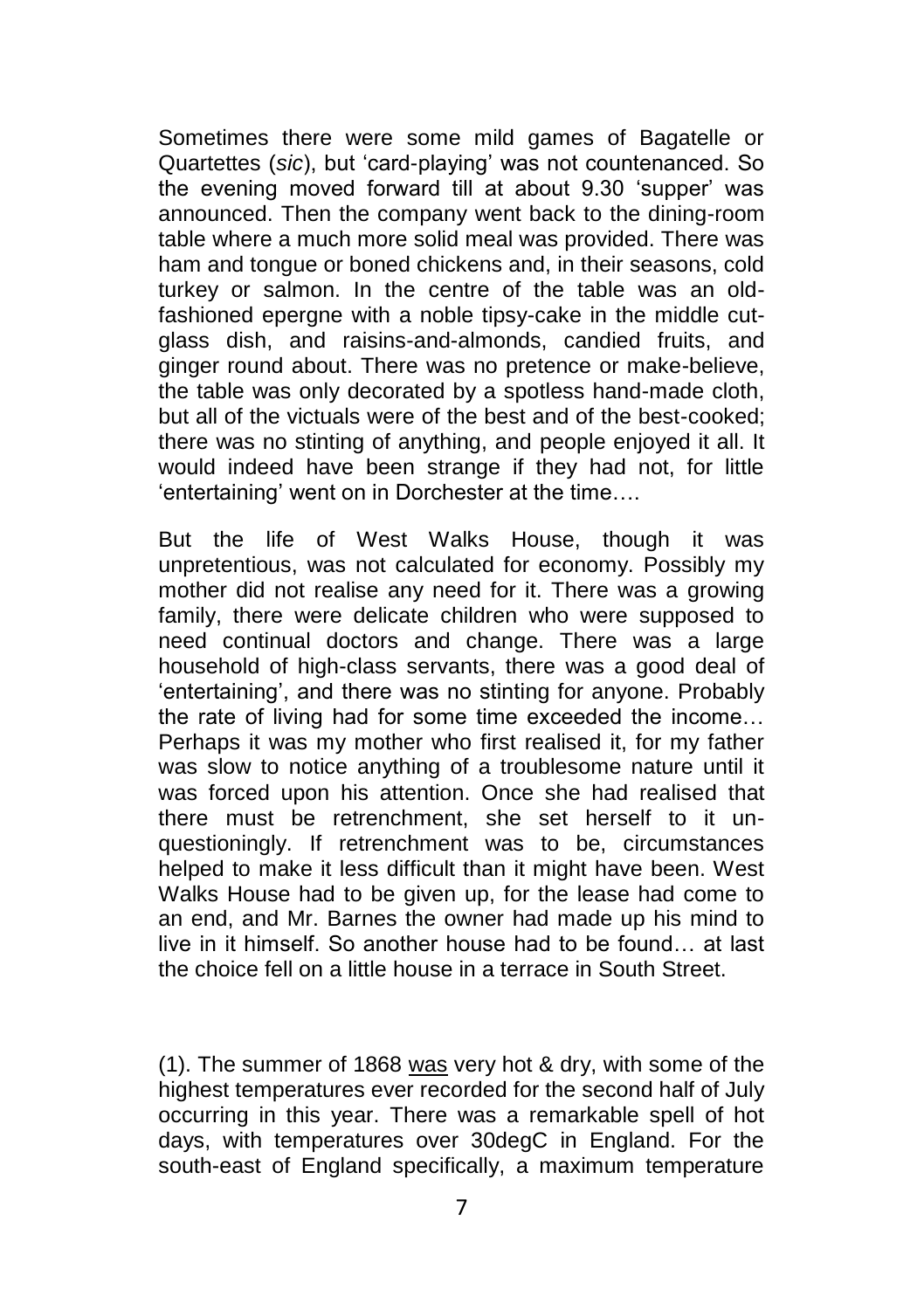Sometimes there were some mild games of Bagatelle or Quartettes (*sic*), but 'card-playing' was not countenanced. So the evening moved forward till at about 9.30 'supper' was announced. Then the company went back to the dining-room table where a much more solid meal was provided. There was ham and tongue or boned chickens and, in their seasons, cold turkey or salmon. In the centre of the table was an oldfashioned epergne with a noble tipsy-cake in the middle cutglass dish, and raisins-and-almonds, candied fruits, and ginger round about. There was no pretence or make-believe, the table was only decorated by a spotless hand-made cloth, but all of the victuals were of the best and of the best-cooked; there was no stinting of anything, and people enjoyed it all. It would indeed have been strange if they had not, for little 'entertaining' went on in Dorchester at the time….

But the life of West Walks House, though it was unpretentious, was not calculated for economy. Possibly my mother did not realise any need for it. There was a growing family, there were delicate children who were supposed to need continual doctors and change. There was a large household of high-class servants, there was a good deal of 'entertaining', and there was no stinting for anyone. Probably the rate of living had for some time exceeded the income… Perhaps it was my mother who first realised it, for my father was slow to notice anything of a troublesome nature until it was forced upon his attention. Once she had realised that there must be retrenchment, she set herself to it unquestioningly. If retrenchment was to be, circumstances helped to make it less difficult than it might have been. West Walks House had to be given up, for the lease had come to an end, and Mr. Barnes the owner had made up his mind to live in it himself. So another house had to be found… at last the choice fell on a little house in a terrace in South Street.

(1). The summer of 1868 was very hot & dry, with some of the highest temperatures ever recorded for the second half of July occurring in this year. There was a remarkable spell of hot days, with temperatures over 30degC in England. For the south-east of England specifically, a maximum temperature